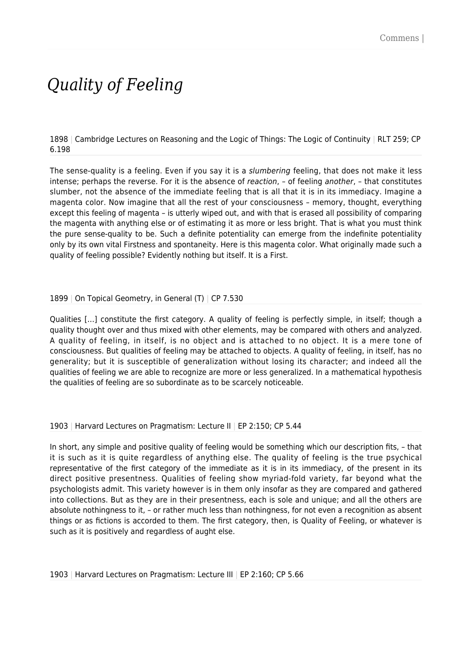# *Quality of Feeling*

1898 | Cambridge Lectures on Reasoning and the Logic of Things: The Logic of Continuity | RLT 259; CP 6.198

The sense-quality is a feeling. Even if you say it is a slumbering feeling, that does not make it less intense; perhaps the reverse. For it is the absence of reaction, - of feeling another, - that constitutes slumber, not the absence of the immediate feeling that is all that it is in its immediacy. Imagine a magenta color. Now imagine that all the rest of your consciousness – memory, thought, everything except this feeling of magenta – is utterly wiped out, and with that is erased all possibility of comparing the magenta with anything else or of estimating it as more or less bright. That is what you must think the pure sense-quality to be. Such a definite potentiality can emerge from the indefinite potentiality only by its own vital Firstness and spontaneity. Here is this magenta color. What originally made such a quality of feeling possible? Evidently nothing but itself. It is a First.

## 1899 | On Topical Geometry, in General (T) | CP 7.530

Qualities […] constitute the first category. A quality of feeling is perfectly simple, in itself; though a quality thought over and thus mixed with other elements, may be compared with others and analyzed. A quality of feeling, in itself, is no object and is attached to no object. It is a mere tone of consciousness. But qualities of feeling may be attached to objects. A quality of feeling, in itself, has no generality; but it is susceptible of generalization without losing its character; and indeed all the qualities of feeling we are able to recognize are more or less generalized. In a mathematical hypothesis the qualities of feeling are so subordinate as to be scarcely noticeable.

#### 1903 | Harvard Lectures on Pragmatism: Lecture II | EP 2:150; CP 5.44

In short, any simple and positive quality of feeling would be something which our description fits, – that it is such as it is quite regardless of anything else. The quality of feeling is the true psychical representative of the first category of the immediate as it is in its immediacy, of the present in its direct positive presentness. Qualities of feeling show myriad-fold variety, far beyond what the psychologists admit. This variety however is in them only insofar as they are compared and gathered into collections. But as they are in their presentness, each is sole and unique; and all the others are absolute nothingness to it, – or rather much less than nothingness, for not even a recognition as absent things or as fictions is accorded to them. The first category, then, is Quality of Feeling, or whatever is such as it is positively and regardless of aught else.

1903 | Harvard Lectures on Pragmatism: Lecture III | EP 2:160; CP 5.66